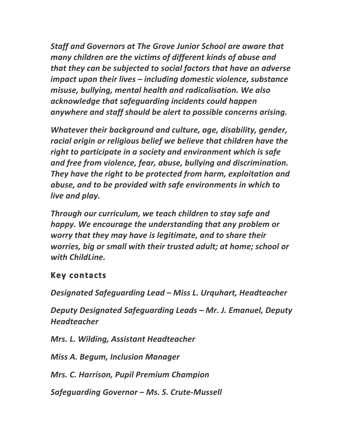**Staff and Governors at The Grove Junior School are aware that** *many* children are the victims of different kinds of abuse and *that they can be subjected to social factors that have an adverse impact upon their lives* - *including domestic violence, substance misuse, bullying, mental health and radicalisation. We also* acknowledge that safeguarding incidents could happen anywhere and staff should be alert to possible concerns arising.

*Whatever their background and culture, age, disability, gender,* racial origin or religious belief we believe that children have the right to participate in a society and environment which is safe and free from violence, fear, abuse, bullying and discrimination. They have the right to be protected from harm, exploitation and abuse, and to be provided with safe environments in which to *live* and play.

*Through our curriculum, we teach children to stay safe and happy.* We encourage the understanding that any problem or *worry* that they may have is legitimate, and to share their *worries, big or small with their trusted adult; at home; school or* with ChildLine.

## **Key contacts**

*Designated Safeguarding Lead – Miss L. Urquhart, Headteacher* 

*Deputy Designated Safeguarding Leads – Mr. J. Emanuel, Deputy Headteacher*

*Mrs. L. Wilding, Assistant Headteacher*

*Miss A. Begum, Inclusion Manager* 

*Mrs. C. Harrison, Pupil Premium Champion*

*Safeguarding Governor – Ms. S. Crute-Mussell*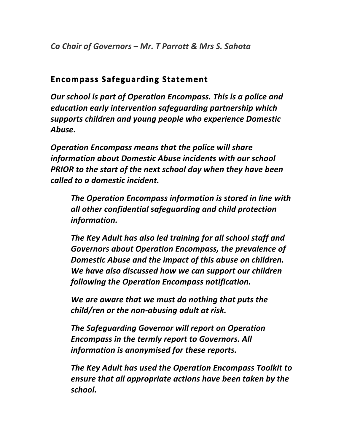*Co Chair of Governors – Mr. T Parrott & Mrs S. Sahota*

## **Encompass Safeguarding Statement**

**Our school is part of Operation Encompass. This is a police and** *education early intervention safeguarding partnership which* supports children and young people who experience Domestic *Abuse.* 

**Operation Encompass means that the police will share** information about Domestic Abuse incidents with our school **PRIOR** to the start of the next school day when they have been *called to a domestic incident.* 

**The Operation Encompass information is stored in line with** all other confidential safeguarding and child protection *information.* 

The Key Adult has also led training for all school staff and Governors about Operation Encompass, the prevalence of **Domestic Abuse and the impact of this abuse on children.** We have also discussed how we can support our children following the Operation Encompass notification.

We are aware that we must do nothing that puts the *child/ren* or the non-abusing adult at risk.

**The Safeguarding Governor will report on Operation Encompass in the termly report to Governors. All** information is anonymised for these reports.

The Key Adult has used the Operation Encompass Toolkit to *ensure that all appropriate actions have been taken by the school.*